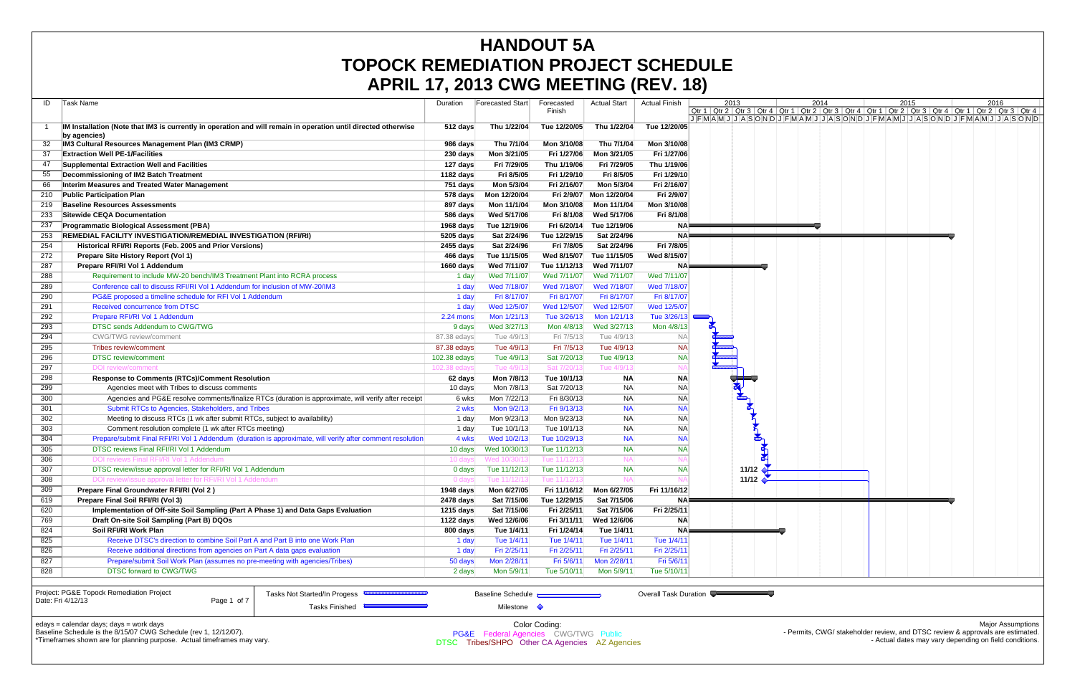|            | <b>APRIL 17, 2013 CWG MEETING (REV. 18)</b>                                                                         |              |                          |                           |                     |                       |                                                                                                                                                                                                  |                             |      |                     |                          |
|------------|---------------------------------------------------------------------------------------------------------------------|--------------|--------------------------|---------------------------|---------------------|-----------------------|--------------------------------------------------------------------------------------------------------------------------------------------------------------------------------------------------|-----------------------------|------|---------------------|--------------------------|
| ID         | Task Name                                                                                                           | Duration     | Forecasted Start         | Forecasted                | <b>Actual Start</b> | <b>Actual Finish</b>  | 2013                                                                                                                                                                                             | 2014                        | 2015 |                     | 2016                     |
|            |                                                                                                                     |              |                          | Finish                    |                     |                       | Qtr 1   Qtr 2   Qtr 3   Qtr 4   Qtr 1   Qtr 2   Qtr 3   Qtr 4   Qtr 1   Qtr 2   Qtr 3   Qtr 4   Qtr 1   Qtr 2   Qtr 3   Qtr 4<br>JFMAMJJJASONDJFMAMJJJFMADJJFMAMJJJFMAMJJJASONDJFMAMJJJJASONDJJF |                             |      |                     |                          |
|            | IM Installation (Note that IM3 is currently in operation and will remain in operation until directed otherwise      | 512 days     | Thu 1/22/04              | Tue 12/20/05              | Thu 1/22/04         | Tue 12/20/05          |                                                                                                                                                                                                  |                             |      |                     |                          |
|            | by agencies)<br><b>IM3 Cultural Resources Management Plan (IM3 CRMP)</b>                                            | 986 days     | Thu 7/1/04               | Mon 3/10/08               | Thu 7/1/04          | Mon 3/10/08           |                                                                                                                                                                                                  |                             |      |                     |                          |
| 37         | <b>Extraction Well PE-1/Facilities</b>                                                                              | 230 days     | Mon 3/21/05              | Fri 1/27/06               | Mon 3/21/05         | Fri 1/27/06           |                                                                                                                                                                                                  |                             |      |                     |                          |
| 47         | Supplemental Extraction Well and Facilities                                                                         | 127 days     | Fri 7/29/05              | Thu 1/19/06               | Fri 7/29/05         | Thu 1/19/06           |                                                                                                                                                                                                  |                             |      |                     |                          |
| 55         | Decommissioning of IM2 Batch Treatment                                                                              | 1182 days    | Fri 8/5/05               | Fri 1/29/10               | Fri 8/5/05          | Fri 1/29/10           |                                                                                                                                                                                                  |                             |      |                     |                          |
| 66         | Interim Measures and Treated Water Management                                                                       | 751 days     | Mon 5/3/04               | Fri 2/16/07               | Mon 5/3/04          | Fri 2/16/07           |                                                                                                                                                                                                  |                             |      |                     |                          |
| 210        | <b>Public Participation Plan</b>                                                                                    | 578 days     | Mon 12/20/04             | Fri 2/9/07                | Mon 12/20/04        | Fri 2/9/07            |                                                                                                                                                                                                  |                             |      |                     |                          |
| 219        | <b>Baseline Resources Assessments</b>                                                                               | 897 days     | Mon 11/1/04              | Mon 3/10/08               | Mon 11/1/04         | Mon 3/10/08           |                                                                                                                                                                                                  |                             |      |                     |                          |
| 233        | <b>Sitewide CEQA Documentation</b>                                                                                  | 586 days     | Wed 5/17/06              | Fri 8/1/08                | Wed 5/17/06         | Fri 8/1/08            |                                                                                                                                                                                                  |                             |      |                     |                          |
| 237        | <b>Programmatic Biological Assessment (PBA)</b>                                                                     | 1968 days    | Tue 12/19/06             | Fri 6/20/14               | Tue 12/19/06        | NA⊫                   |                                                                                                                                                                                                  |                             |      |                     |                          |
| 253        | REMEDIAL FACILITY INVESTIGATION/REMEDIAL INVESTIGATION (RFI/RI)                                                     | 5205 days    | Sat 2/24/96              | Tue 12/29/15              | Sat 2/24/96         | <b>NA</b>             |                                                                                                                                                                                                  |                             |      |                     |                          |
| 254        | Historical RFI/RI Reports (Feb. 2005 and Prior Versions)                                                            | 2455 days    | Sat 2/24/96              | Fri 7/8/05                | Sat 2/24/96         | Fri 7/8/05            |                                                                                                                                                                                                  |                             |      |                     |                          |
| 272        | Prepare Site History Report (Vol 1)                                                                                 | 466 days     | Tue 11/15/05             | Wed 8/15/07               | Tue 11/15/05        | Wed 8/15/07           |                                                                                                                                                                                                  |                             |      |                     |                          |
| 287        | Prepare RFI/RI Vol 1 Addendum                                                                                       | 1660 days    | Wed 7/11/07              | Tue 11/12/13              | Wed 7/11/07         | NAI                   |                                                                                                                                                                                                  |                             |      |                     |                          |
| 288        | Requirement to include MW-20 bench/IM3 Treatment Plant into RCRA process                                            | 1 day        | Wed 7/11/07              | Wed 7/11/07               | Wed 7/11/07         | Wed 7/11/07           |                                                                                                                                                                                                  |                             |      |                     |                          |
| 289        | Conference call to discuss RFI/RI Vol 1 Addendum for inclusion of MW-20/IM3                                         | 1 day        | Wed 7/18/07              | Wed 7/18/07               | Wed 7/18/07         | Wed 7/18/07           |                                                                                                                                                                                                  |                             |      |                     |                          |
| 290        | PG&E proposed a timeline schedule for RFI Vol 1 Addendum                                                            | 1 day        | Fri 8/17/07              | Fri 8/17/07               | Fri 8/17/07         | Fri 8/17/07           |                                                                                                                                                                                                  |                             |      |                     |                          |
| 291        | Received concurrence from DTSC                                                                                      | 1 day        | Wed 12/5/07              | Wed 12/5/07               | Wed 12/5/07         | Wed 12/5/07           |                                                                                                                                                                                                  |                             |      |                     |                          |
|            | Prepare RFI/RI Vol 1 Addendum                                                                                       |              | Mon 1/21/13              | Tue 3/26/13               | Mon 1/21/13         | Tue 3/26/1:           |                                                                                                                                                                                                  |                             |      |                     |                          |
| 292<br>293 | DTSC sends Addendum to CWG/TWG                                                                                      | 2.24 mons    | Wed 3/27/13              | Mon 4/8/13                | Wed 3/27/13         | Mon 4/8/1             |                                                                                                                                                                                                  |                             |      |                     |                          |
| 294        | CWG/TWG review/comment                                                                                              | 9 days       | Tue 4/9/13               | Fri 7/5/13                | Tue 4/9/13          | <b>NA</b>             |                                                                                                                                                                                                  |                             |      |                     |                          |
|            | Tribes review/comment                                                                                               | 87.38 edays  | Tue 4/9/13               |                           | Tue 4/9/13          |                       |                                                                                                                                                                                                  |                             |      |                     |                          |
| 295        | <b>DTSC</b> review/comment                                                                                          | 87.38 edays  | Tue 4/9/13               | Fri 7/5/13<br>Sat 7/20/13 |                     | <b>NA</b>             |                                                                                                                                                                                                  |                             |      |                     |                          |
| 296        |                                                                                                                     | 102.38 edays |                          |                           | Tue 4/9/13          | <b>NA</b>             |                                                                                                                                                                                                  |                             |      |                     |                          |
| 297        | <b>DOI</b> review/comment                                                                                           | 102.38 edays | Tue 4/9/1                | Sat 7/20/1                | Tue 4/9/1           | N <sub>f</sub>        |                                                                                                                                                                                                  |                             |      |                     |                          |
| 298        | <b>Response to Comments (RTCs)/Comment Resolution</b>                                                               | 62 days      | Mon 7/8/13               | Tue 10/1/13               | <b>NA</b>           | <b>NA</b>             |                                                                                                                                                                                                  |                             |      |                     |                          |
| 299        | Agencies meet with Tribes to discuss comments                                                                       | 10 days      | Mon 7/8/13               | Sat 7/20/13               | NA                  | <b>NA</b>             |                                                                                                                                                                                                  |                             |      |                     |                          |
| 300        | Agencies and PG&E resolve comments/finalize RTCs (duration is approximate, will verify after receipt                | 6 wksl       | Mon 7/22/13              | Fri 8/30/13               | <b>NA</b>           | <b>NA</b>             |                                                                                                                                                                                                  |                             |      |                     |                          |
| 301        | Submit RTCs to Agencies, Stakeholders, and Tribes                                                                   | 2 wks        | Mon 9/2/13               | Fri 9/13/13               | <b>NA</b>           | <b>NA</b>             |                                                                                                                                                                                                  |                             |      |                     |                          |
| 302        | Meeting to discuss RTCs (1 wk after submit RTCs, subject to availability)                                           | 1 day        | Mon 9/23/13              | Mon 9/23/13               | <b>NA</b>           | <b>NA</b>             |                                                                                                                                                                                                  |                             |      |                     |                          |
| 303        | Comment resolution complete (1 wk after RTCs meeting)                                                               | 1 day        | Tue 10/1/13              | Tue 10/1/13               | <b>NA</b>           | <b>NA</b>             |                                                                                                                                                                                                  |                             |      |                     |                          |
| 304        | Prepare/submit Final RFI/RI Vol 1 Addendum (duration is approximate, will verify after comment resolution           | 4 wks        | Wed 10/2/13              | Tue 10/29/13              | <b>NA</b>           | <b>NA</b>             |                                                                                                                                                                                                  |                             |      |                     |                          |
| 305        | DTSC reviews Final RFI/RI Vol 1 Addendum                                                                            | 10 days      | Wed 10/30/13             | Tue 11/12/13              | <b>NA</b>           | <b>NA</b>             |                                                                                                                                                                                                  |                             |      |                     |                          |
| 306        | DOI reviews Final RFI/RI Vol 1 Addendum                                                                             | 10 davs      | Wed 10/30/               | Tue 11/12/1               | <b>NA</b>           |                       |                                                                                                                                                                                                  |                             |      |                     |                          |
| 307        | DTSC review/issue approval letter for RFI/RI Vol 1 Addendum                                                         | $0$ days     | Tue 11/12/13             | Tue 11/12/13              | <b>NA</b>           | <b>NA</b>             | 11/12 $\rightarrow$                                                                                                                                                                              |                             |      |                     |                          |
| 308        | DOI review/issue approval letter for RFI/RI Vol 1 Addendum                                                          | 0 days       | Tue 11/12/1              | Tue 11/12/1               |                     |                       | 11/12 $\triangle$                                                                                                                                                                                |                             |      |                     |                          |
| 309        | Prepare Final Groundwater RFI/RI (Vol 2)                                                                            | 1948 days    | Mon 6/27/05              | Fri 11/16/12              | Mon 6/27/05         | Fri 11/16/12          |                                                                                                                                                                                                  |                             |      |                     |                          |
| 619        | Prepare Final Soil RFI/RI (Vol 3)                                                                                   | 2478 days    | Sat 7/15/06              | Tue 12/29/15              | Sat 7/15/06         | NAI                   |                                                                                                                                                                                                  |                             |      |                     |                          |
| 620        | Implementation of Off-site Soil Sampling (Part A Phase 1) and Data Gaps Evaluation                                  | $1215$ days  | Sat 7/15/06              | Fri 2/25/11               | Sat 7/15/06         | Fri 2/25/11           |                                                                                                                                                                                                  |                             |      |                     |                          |
| 769        | Draft On-site Soil Sampling (Part B) DQOs                                                                           | 1122 days    | Wed 12/6/06              | Fri 3/11/11               | Wed 12/6/06         | <b>NA</b>             |                                                                                                                                                                                                  |                             |      |                     |                          |
| 824        | Soil RFI/RI Work Plan                                                                                               | 800 days     | Tue 1/4/11               | Fri 1/24/14               | Tue 1/4/11          | NA⊧                   |                                                                                                                                                                                                  |                             |      |                     |                          |
| 825        | Receive DTSC's direction to combine Soil Part A and Part B into one Work Plan                                       | 1 day        | Tue 1/4/11               | Tue 1/4/11                | Tue 1/4/11          | Tue 1/4/11            |                                                                                                                                                                                                  |                             |      |                     |                          |
| 826        | Receive additional directions from agencies on Part A data gaps evaluation                                          | 1 day        | Fri 2/25/11              | Fri 2/25/11               | Fri 2/25/11         | Fri 2/25/1            |                                                                                                                                                                                                  |                             |      |                     |                          |
| 827        | Prepare/submit Soil Work Plan (assumes no pre-meeting with agencies/Tribes)                                         | 50 days      | Mon 2/28/11              | Fri 5/6/11                | Mon 2/28/11         | Fri 5/6/1             |                                                                                                                                                                                                  |                             |      |                     |                          |
| 828        | <b>DTSC forward to CWG/TWG</b>                                                                                      | 2 days       | Mon 5/9/11               | Tue 5/10/11               | Mon 5/9/11          | Tue 5/10/1            |                                                                                                                                                                                                  |                             |      |                     |                          |
|            |                                                                                                                     |              |                          |                           |                     |                       |                                                                                                                                                                                                  |                             |      |                     |                          |
|            | Project: PG&E Topock Remediation Project<br><b>Tasks Not Started/In Progess</b><br>Page 1 of 7<br>Date: Fri 4/12/13 |              | <b>Baseline Schedule</b> |                           |                     | Overall Task Duration |                                                                                                                                                                                                  |                             |      |                     |                          |
|            | Tasks Finished                                                                                                      |              | Milestone $\Diamond$     |                           |                     |                       |                                                                                                                                                                                                  |                             |      |                     |                          |
|            |                                                                                                                     |              |                          |                           |                     |                       |                                                                                                                                                                                                  |                             |      |                     |                          |
|            | edays = calendar days; days = work days<br>dule is the $9/15/07$ CMC Seperate (rev. 1 19/19/07)                     |              |                          | Color Coding:             |                     |                       |                                                                                                                                                                                                  | prite CINCLotatebolderresie |      | and DTCC routious 8 | <b>Major Assumptions</b> |

Baseline Schedule is the 8/15/07 CWG Schedule (rev 1, 12/12/07). \*Timeframes shown are for planning purpose. Actual timeframes may vary.

PG&E Federal Agencies CWG/TWG Public DTSC Tribes/SHPO Other CA Agencies AZ Agencies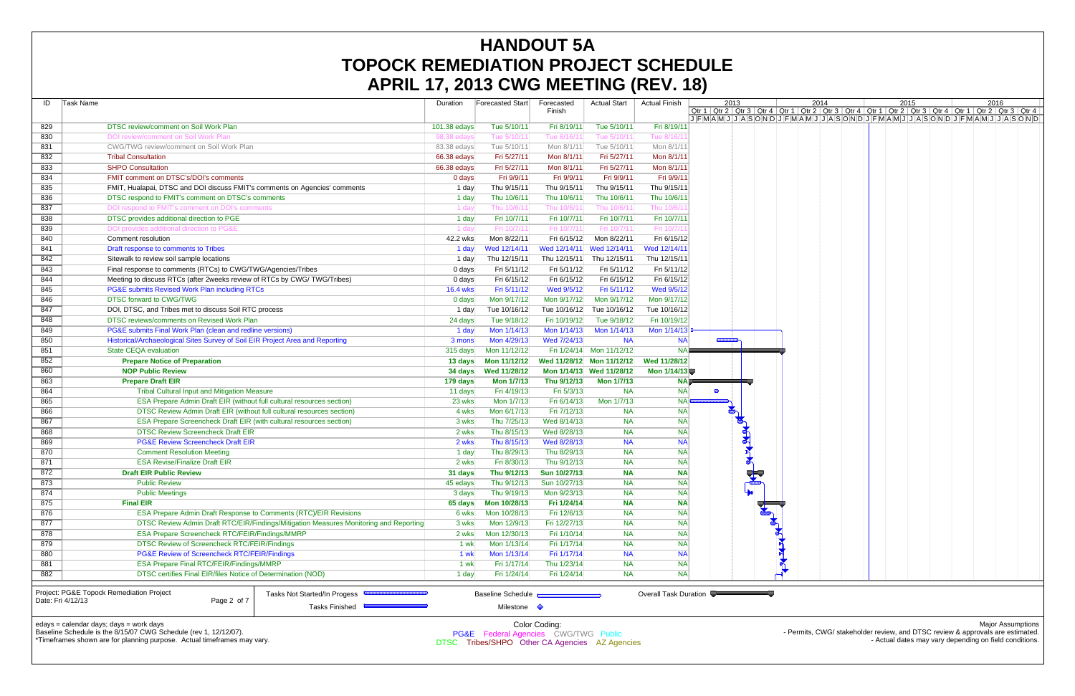|                   | AFNIL $\bm{H}$ , zuto gwo will $\bm{H}$ o (nlv. 10)                           |                                                                                       |                 |                          |                          |                           |                         |                                                                                                                               |                      |            |  |      |  |      |  |      |  |
|-------------------|-------------------------------------------------------------------------------|---------------------------------------------------------------------------------------|-----------------|--------------------------|--------------------------|---------------------------|-------------------------|-------------------------------------------------------------------------------------------------------------------------------|----------------------|------------|--|------|--|------|--|------|--|
| Task Name<br>ID   |                                                                               |                                                                                       | Duration        | <b>Forecasted Start</b>  | Forecasted               | <b>Actual Start</b>       | <b>Actual Finish</b>    |                                                                                                                               | 2013                 |            |  | 2014 |  | 2015 |  | 2016 |  |
|                   |                                                                               |                                                                                       |                 |                          | Finish                   |                           |                         | Qtr 1   Qtr 2   Qtr 3   Qtr 4   Qtr 1   Qtr 2   Qtr 3   Qtr 4   Qtr 1   Qtr 2   Qtr 3   Qtr 4   Qtr 1   Qtr 2   Qtr 3   Qtr 4 |                      |            |  |      |  |      |  |      |  |
| 829               | DTSC review/comment on Soil Work Plan                                         |                                                                                       | 101.38 edays    | Tue 5/10/11              | Fri 8/19/11              | Tue 5/10/11               | Fri 8/19/11             | JFMAMJJASONDJFMAMJJASONDJFMAMJJJFMAMJJJFMAMJJJASONDJFMAMJJJASONDJ                                                             |                      |            |  |      |  |      |  |      |  |
| 830               | DOI review/comment on Soil Work Plan                                          |                                                                                       | 98.38 edays     | Tue 5/10/1               | Tue 8/16/1               | Tue 5/10/1                | Tue 8/16/               |                                                                                                                               |                      |            |  |      |  |      |  |      |  |
| 831               | CWG/TWG review/comment on Soil Work Plan                                      |                                                                                       | 83.38 edays     | Tue 5/10/11              | Mon 8/1/11               | Tue 5/10/11               | Mon 8/1/1               |                                                                                                                               |                      |            |  |      |  |      |  |      |  |
| 832               | <b>Tribal Consultation</b>                                                    |                                                                                       | 66.38 edays     | Fri 5/27/11              | Mon 8/1/11               | Fri 5/27/11               | Mon 8/1/1               |                                                                                                                               |                      |            |  |      |  |      |  |      |  |
| 833               | <b>SHPO Consultation</b>                                                      |                                                                                       | 66.38 edays     | Fri 5/27/11              | Mon 8/1/11               | Fri 5/27/11               | Mon 8/1/1               |                                                                                                                               |                      |            |  |      |  |      |  |      |  |
| 834               | FMIT comment on DTSC's/DOI's comments                                         |                                                                                       | 0 days          | Fri 9/9/11               | Fri 9/9/11               | Fri 9/9/11                | Fri 9/9/11              |                                                                                                                               |                      |            |  |      |  |      |  |      |  |
|                   | FMIT, Hualapai, DTSC and DOI discuss FMIT's comments on Agencies' comments    |                                                                                       |                 | Thu 9/15/11              | Thu 9/15/11              | Thu 9/15/11               | Thu 9/15/1              |                                                                                                                               |                      |            |  |      |  |      |  |      |  |
| 835               |                                                                               |                                                                                       | 1 day           |                          |                          |                           |                         |                                                                                                                               |                      |            |  |      |  |      |  |      |  |
| 836               | DTSC respond to FMIT's comment on DTSC's comments                             |                                                                                       | 1 day           | Thu 10/6/11              | Thu 10/6/11              | Thu 10/6/11               | Thu 10/6/1              |                                                                                                                               |                      |            |  |      |  |      |  |      |  |
| 837               | DOI respond to FMIT's comment on DOI's comments                               |                                                                                       | 1 day           | Thu 10/6/1               | Thu 10/6/                | Thu 10/6/1                | Thu 10/6/<br>Fri 10/7/1 |                                                                                                                               |                      |            |  |      |  |      |  |      |  |
| 838               | DTSC provides additional direction to PGE                                     |                                                                                       | 1 day           | Fri 10/7/11              | Fri 10/7/11              | Fri 10/7/11               |                         |                                                                                                                               |                      |            |  |      |  |      |  |      |  |
| 839               | DOI provides additional direction to PG&E                                     |                                                                                       | 1 day           | Fri 10/7/11              | Fri 10/7/1               | Fri 10/7/1                | Fri 10/7/               |                                                                                                                               |                      |            |  |      |  |      |  |      |  |
| 840               | Comment resolution                                                            |                                                                                       | 42.2 wks        | Mon 8/22/11              | Fri 6/15/12              | Mon 8/22/11               | Fri 6/15/12             |                                                                                                                               |                      |            |  |      |  |      |  |      |  |
| 841               | Draft response to comments to Tribes                                          |                                                                                       | 1 day           | Wed 12/14/11             |                          | Wed 12/14/11 Wed 12/14/11 | Wed 12/14/1             |                                                                                                                               |                      |            |  |      |  |      |  |      |  |
| 842               | Sitewalk to review soil sample locations                                      |                                                                                       | 1 day           | Thu 12/15/11             | Thu 12/15/11             | Thu 12/15/11              | Thu 12/15/11            |                                                                                                                               |                      |            |  |      |  |      |  |      |  |
| 843               | Final response to comments (RTCs) to CWG/TWG/Agencies/Tribes                  |                                                                                       | 0 days          | Fri 5/11/12              | Fri 5/11/12              | Fri 5/11/12               | Fri 5/11/12             |                                                                                                                               |                      |            |  |      |  |      |  |      |  |
| 844               | Meeting to discuss RTCs (after 2weeks review of RTCs by CWG/TWG/Tribes)       |                                                                                       | 0 days          | Fri 6/15/12              | Fri 6/15/12              | Fri 6/15/12               | Fri 6/15/12             |                                                                                                                               |                      |            |  |      |  |      |  |      |  |
| 845               | PG&E submits Revised Work Plan including RTCs                                 |                                                                                       | <b>16.4 wks</b> | Fri 5/11/12              | Wed 9/5/12               | Fri 5/11/12               | Wed 9/5/12              |                                                                                                                               |                      |            |  |      |  |      |  |      |  |
| 846               | DTSC forward to CWG/TWG                                                       |                                                                                       | 0 days          | Mon 9/17/12              | Mon 9/17/12              | Mon 9/17/12               | Mon 9/17/12             |                                                                                                                               |                      |            |  |      |  |      |  |      |  |
| 847               | DOI, DTSC, and Tribes met to discuss Soil RTC process                         |                                                                                       | 1 day           | Tue 10/16/12             |                          | Tue 10/16/12 Tue 10/16/12 | Tue 10/16/12            |                                                                                                                               |                      |            |  |      |  |      |  |      |  |
| 848               | DTSC reviews/comments on Revised Work Plan                                    |                                                                                       | 24 days         | Tue 9/18/12              | Fri 10/19/12             | Tue 9/18/12               | Fri 10/19/12            |                                                                                                                               |                      |            |  |      |  |      |  |      |  |
| 849               | PG&E submits Final Work Plan (clean and redline versions)                     |                                                                                       | 1 day           | Mon 1/14/13              | Mon 1/14/13              | Mon 1/14/13               | Mon 1/14/1              |                                                                                                                               |                      |            |  |      |  |      |  |      |  |
| 850               | Historical/Archaeological Sites Survey of Soil EIR Project Area and Reporting |                                                                                       | 3 mons          | Mon 4/29/13              | Wed 7/24/13              | <b>NA</b>                 | <b>NA</b>               |                                                                                                                               |                      |            |  |      |  |      |  |      |  |
| 851               | <b>State CEQA evaluation</b>                                                  |                                                                                       | 315 days        | Mon 11/12/12             |                          | Fri 1/24/14 Mon 11/12/12  | <b>NA</b>               |                                                                                                                               |                      |            |  |      |  |      |  |      |  |
| 852               | <b>Prepare Notice of Preparation</b>                                          |                                                                                       | 13 days         | Mon 11/12/12             |                          | Wed 11/28/12 Mon 11/12/12 | Wed 11/28/12            |                                                                                                                               |                      |            |  |      |  |      |  |      |  |
| 860               | <b>NOP Public Review</b>                                                      |                                                                                       | 34 days         | Wed 11/28/12             |                          | Mon 1/14/13 Wed 11/28/12  | Mon 1/14/13             |                                                                                                                               |                      |            |  |      |  |      |  |      |  |
| 863               | <b>Prepare Draft EIR</b>                                                      |                                                                                       | 179 days        | Mon 1/7/13               | Thu 9/12/13              | <b>Mon 1/7/13</b>         | <b>NAP</b>              |                                                                                                                               |                      |            |  |      |  |      |  |      |  |
| 864               | <b>Tribal Cultural Input and Mitigation Measure</b>                           |                                                                                       | 11 days         | Fri 4/19/13              | Fri 5/3/13               | <b>NA</b>                 | <b>NA</b>               | Ø                                                                                                                             |                      |            |  |      |  |      |  |      |  |
| 865               | ESA Prepare Admin Draft EIR (without full cultural resources section)         |                                                                                       | 23 wks          | Mon 1/7/13               | Fri 6/14/13              | Mon 1/7/13                | <b>NAI</b>              |                                                                                                                               |                      |            |  |      |  |      |  |      |  |
| 866               | DTSC Review Admin Draft EIR (without full cultural resources section)         |                                                                                       | 4 wks           | Mon 6/17/13              | Fri 7/12/13              | <b>NA</b>                 | <b>NA</b>               |                                                                                                                               | $\mathbb{Z}$         |            |  |      |  |      |  |      |  |
| 867               | ESA Prepare Screencheck Draft EIR (with cultural resources section)           |                                                                                       | 3 wks           | Thu 7/25/13              | Wed 8/14/13              | <b>NA</b>                 | <b>NA</b>               |                                                                                                                               | $\mathbb{Z}$         |            |  |      |  |      |  |      |  |
| 868               | <b>DTSC Review Screencheck Draft EIR</b>                                      |                                                                                       | 2 wks           | Thu 8/15/13              | Wed 8/28/13              | <b>NA</b>                 | <b>NA</b>               |                                                                                                                               | $\frac{1}{\sqrt{2}}$ |            |  |      |  |      |  |      |  |
| 869               | <b>PG&amp;E Review Screencheck Draft EIR</b>                                  |                                                                                       | 2 wks           | Thu 8/15/13              | Wed 8/28/13              | <b>NA</b>                 | <b>NA</b>               |                                                                                                                               | $\blacktriangledown$ |            |  |      |  |      |  |      |  |
| 870               | <b>Comment Resolution Meeting</b>                                             |                                                                                       | 1 day           | Thu 8/29/13              | Thu 8/29/13              | <b>NA</b>                 | <b>NA</b>               |                                                                                                                               |                      |            |  |      |  |      |  |      |  |
| 871               | <b>ESA Revise/Finalize Draft EIR</b>                                          |                                                                                       | 2 wks           | Fri 8/30/13              | Thu 9/12/13              | <b>NA</b>                 | <b>NA</b>               |                                                                                                                               |                      |            |  |      |  |      |  |      |  |
| 872               | <b>Draft EIR Public Review</b>                                                |                                                                                       | 31 days         |                          | Thu 9/12/13 Sun 10/27/13 | <b>NA</b>                 | <b>NA</b>               |                                                                                                                               |                      | <b>DEV</b> |  |      |  |      |  |      |  |
| 873               | <b>Public Review</b>                                                          |                                                                                       | 45 edays        | Thu 9/12/13              | Sun 10/27/13             | NA                        | <b>NA</b>               |                                                                                                                               |                      |            |  |      |  |      |  |      |  |
| 874               | <b>Public Meetings</b>                                                        |                                                                                       | 3 days          | Thu 9/19/13              | Mon 9/23/13              | <b>NA</b>                 | <b>NA</b>               |                                                                                                                               | $\bullet$            |            |  |      |  |      |  |      |  |
| 875               | <b>Final EIR</b>                                                              |                                                                                       | 65 days         | Mon 10/28/13             | Fri 1/24/14              | <b>NA</b>                 | <b>NA</b>               |                                                                                                                               |                      |            |  |      |  |      |  |      |  |
| 876               | ESA Prepare Admin Draft Response to Comments (RTC)/EIR Revisions              |                                                                                       | 6 wks           | Mon 10/28/13             | Fri 12/6/13              | <b>NA</b>                 | <b>NA</b>               |                                                                                                                               |                      |            |  |      |  |      |  |      |  |
| 877               |                                                                               | DTSC Review Admin Draft RTC/EIR/Findings/Mitigation Measures Monitoring and Reporting | 3 wks           | Mon 12/9/13              | Fri 12/27/13             | <b>NA</b>                 | <b>NA</b>               |                                                                                                                               |                      |            |  |      |  |      |  |      |  |
| 878               | <b>ESA Prepare Screencheck RTC/FEIR/Findings/MMRP</b>                         |                                                                                       | 2 wks           | Mon 12/30/13             | Fri 1/10/14              | <b>NA</b>                 | <b>NA</b>               |                                                                                                                               |                      |            |  |      |  |      |  |      |  |
| 879               | DTSC Review of Screencheck RTC/FEIR/Findings                                  |                                                                                       |                 |                          | Fri 1/17/14              | <b>NA</b>                 | <b>NA</b>               |                                                                                                                               |                      |            |  |      |  |      |  |      |  |
| 880               | PG&E Review of Screencheck RTC/FEIR/Findings                                  |                                                                                       |                 |                          | Fri 1/17/14              | <b>NA</b>                 | <b>NA</b>               |                                                                                                                               |                      |            |  |      |  |      |  |      |  |
| 881               | <b>ESA Prepare Final RTC/FEIR/Findings/MMRP</b>                               |                                                                                       | 1 wk            | Fri 1/17/14              | Thu 1/23/14              | <b>NA</b>                 | <b>NA</b>               |                                                                                                                               |                      |            |  |      |  |      |  |      |  |
| 882               | DTSC certifies Final EIR/files Notice of Determination (NOD)                  |                                                                                       | 1 day           | Fri 1/24/14              | Fri 1/24/14              | <b>NA</b>                 | <b>NA</b>               |                                                                                                                               |                      |            |  |      |  |      |  |      |  |
|                   |                                                                               |                                                                                       |                 |                          |                          |                           |                         |                                                                                                                               |                      |            |  |      |  |      |  |      |  |
|                   | Project: PG&E Topock Remediation Project                                      | Tasks Not Started/In Progess                                                          |                 | <b>Baseline Schedule</b> |                          |                           | Overall Task Duration   |                                                                                                                               |                      |            |  |      |  |      |  |      |  |
| Date: Fri 4/12/13 | Page 2 of 7                                                                   | Tasks Finished ■                                                                      |                 | Milestone $\Diamond$     |                          |                           |                         |                                                                                                                               |                      |            |  |      |  |      |  |      |  |
|                   |                                                                               |                                                                                       |                 |                          |                          |                           |                         |                                                                                                                               |                      |            |  |      |  |      |  |      |  |

edays = calendar days; days = work days

Baseline Schedule is the 8/15/07 CWG Schedule (rev 1, 12/12/07).

\*Timeframes shown are for planning purpose. Actual timeframes may vary.

Major Assumptions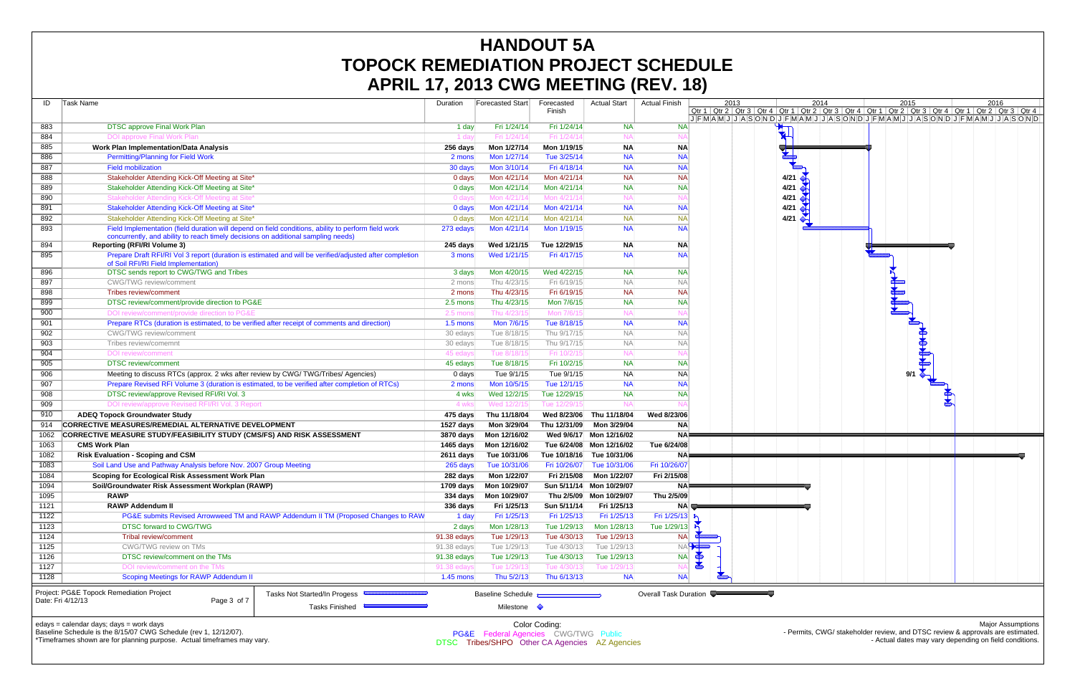| ID     | Task Name                                                                                                               |                                                                                                         | Duration         | <b>Forecasted Start</b> | Forecasted<br>Finish | <b>Actual Start</b>      | <b>Actual Finish</b>         |       | 2013 | Qtr 1   Qtr 2   Qtr 3   Qtr 4   Qtr                     |    |
|--------|-------------------------------------------------------------------------------------------------------------------------|---------------------------------------------------------------------------------------------------------|------------------|-------------------------|----------------------|--------------------------|------------------------------|-------|------|---------------------------------------------------------|----|
| 883    | <b>DTSC approve Final Work Plan</b>                                                                                     |                                                                                                         |                  | Fri 1/24/14             | Fri 1/24/14          | <b>NA</b>                | <b>NA</b>                    |       |      | $J$ $F$ $M$ $A$ $M$ $J$ $J$ $A$ $S$ $O$ $N$ $D$ $J$ $F$ |    |
| 884    | <b>DOI approve Final Work Plan</b>                                                                                      |                                                                                                         | 1 day<br>1 day   | Fri 1/24/14             | Fri 1/24/1           | <b>NA</b>                | $N_A$                        |       |      |                                                         |    |
| 885    | <b>Work Plan Implementation/Data Analysis</b>                                                                           |                                                                                                         | 256 days         | Mon 1/27/14             | Mon 1/19/15          | <b>NA</b>                | <b>NA</b>                    |       |      |                                                         |    |
| 886    | <b>Permitting/Planning for Field Work</b>                                                                               |                                                                                                         | 2 mons           | Mon 1/27/14             | Tue 3/25/14          | <b>NA</b>                | <b>NA</b>                    |       |      |                                                         |    |
| 887    | <b>Field mobilization</b>                                                                                               |                                                                                                         | 30 days          | Mon 3/10/14             | Fri 4/18/14          | <b>NA</b>                | <b>NA</b>                    |       |      |                                                         |    |
| 888    | Stakeholder Attending Kick-Off Meeting at Site*                                                                         |                                                                                                         | 0 days           | Mon 4/21/14             | Mon 4/21/14          | <b>NA</b>                | <b>NA</b>                    |       |      |                                                         |    |
| 889    | Stakeholder Attending Kick-Off Meeting at Site*                                                                         |                                                                                                         | 0 days           | Mon 4/21/14             | Mon 4/21/14          | <b>NA</b>                | <b>NA</b>                    |       |      |                                                         |    |
| 890    | Stakeholder Attending Kick-Off Meeting at Site*                                                                         |                                                                                                         | 0 days           | Mon 4/21/14             | Mon 4/21/1           | <b>NA</b>                | <b>NA</b>                    |       |      |                                                         |    |
| 891    | Stakeholder Attending Kick-Off Meeting at Site*                                                                         |                                                                                                         | 0 days           | Mon 4/21/14             | Mon 4/21/14          | <b>NA</b>                | <b>NA</b>                    |       |      |                                                         |    |
| 892    | Stakeholder Attending Kick-Off Meeting at Site*                                                                         |                                                                                                         | 0 days           | Mon 4/21/14             | Mon 4/21/14          | <b>NA</b>                | <b>NA</b>                    |       |      |                                                         | 41 |
| 893    | Field Implementation (field duration will depend on field conditions, ability to perform field work                     |                                                                                                         | 273 edays        | Mon 4/21/14             | Mon 1/19/15          | <b>NA</b>                | <b>NA</b>                    |       |      |                                                         |    |
| 894    | concurrently, and ability to reach timely decisions on additional sampling needs)<br><b>Reporting (RFI/RI Volume 3)</b> |                                                                                                         | 245 days         | Wed 1/21/15             | Tue 12/29/15         | <b>NA</b>                | <b>NA</b>                    |       |      |                                                         |    |
| 895    |                                                                                                                         | Prepare Draft RFI/RI Vol 3 report (duration is estimated and will be verified/adjusted after completion | 3 mons           | Wed 1/21/15             | Fri 4/17/15          | <b>NA</b>                | <b>NA</b>                    |       |      |                                                         |    |
|        | of Soil RFI/RI Field Implementation)                                                                                    |                                                                                                         |                  |                         |                      |                          |                              |       |      |                                                         |    |
| 896    | DTSC sends report to CWG/TWG and Tribes                                                                                 |                                                                                                         | 3 days           | Mon 4/20/15             | Wed 4/22/15          | <b>NA</b>                | <b>NA</b>                    |       |      |                                                         |    |
| 897    | <b>CWG/TWG</b> review/comment                                                                                           |                                                                                                         | 2 mons           | Thu 4/23/15             | Fri 6/19/15          | <b>NA</b>                | <b>NA</b>                    |       |      |                                                         |    |
| 898    | Tribes review/comment                                                                                                   |                                                                                                         | 2 mons           | Thu 4/23/15             | Fri 6/19/15          | <b>NA</b>                | <b>NA</b>                    |       |      |                                                         |    |
| 899    | DTSC review/comment/provide direction to PG&E                                                                           |                                                                                                         | 2.5 mons         | Thu 4/23/15             | Mon 7/6/15           | <b>NA</b>                | <b>NA</b>                    |       |      |                                                         |    |
| 900    | DOI review/comment/provide direction to PG&E                                                                            |                                                                                                         | 2.5 mons         | Thu 4/23/15             | Mon 7/6/1            | <b>NA</b>                | $N_A$                        |       |      |                                                         |    |
| 901    | Prepare RTCs (duration is estimated, to be verified after receipt of comments and direction)                            |                                                                                                         | $1.5$ mons       | Mon 7/6/15              | Tue 8/18/15          | <b>NA</b>                | <b>NA</b>                    |       |      |                                                         |    |
| 902    | <b>CWG/TWG</b> review/comment                                                                                           |                                                                                                         | 30 edays         | Tue 8/18/15             | Thu 9/17/15          | <b>NA</b>                | <b>NA</b>                    |       |      |                                                         |    |
| 903    | Tribes review/comemnt                                                                                                   |                                                                                                         | 30 edays         | Tue 8/18/15             | Thu 9/17/15          | <b>NA</b>                | <b>NA</b>                    |       |      |                                                         |    |
| 904    | <b>DOI</b> review/comment                                                                                               |                                                                                                         | 45 edays         | Tue 8/18/1              | Fri 10/2/1           | <b>NA</b>                | $N_A$                        |       |      |                                                         |    |
| 905    | <b>DTSC</b> review/comment                                                                                              |                                                                                                         | 45 edays         | Tue 8/18/15             | Fri 10/2/15          | <b>NA</b>                | <b>NA</b>                    |       |      |                                                         |    |
| 906    | Meeting to discuss RTCs (approx. 2 wks after review by CWG/TWG/Tribes/ Agencies)                                        |                                                                                                         | 0 days           | Tue 9/1/15              | Tue 9/1/15           | <b>NA</b>                | <b>NA</b>                    |       |      |                                                         |    |
| 907    | Prepare Revised RFI Volume 3 (duration is estimated, to be verified after completion of RTCs)                           |                                                                                                         | 2 mons           | Mon 10/5/15             | Tue 12/1/15          | <b>NA</b>                | <b>NA</b>                    |       |      |                                                         |    |
| 908    | DTSC review/approve Revised RFI/RI Vol. 3                                                                               |                                                                                                         | 4 wks            | Wed 12/2/15             | Tue 12/29/15         | <b>NA</b>                | <b>NA</b>                    |       |      |                                                         |    |
| 909    | DOI review/approve Revised RFI/RI Vol. 3 Report                                                                         |                                                                                                         | 4 wks            | Wed 12/2/1              | Tue 12/29/1          | NA                       |                              |       |      |                                                         |    |
| 910    | <b>ADEQ Topock Groundwater Study</b>                                                                                    |                                                                                                         | 475 days         | Thu 11/18/04            | Wed 8/23/06          | Thu 11/18/04             | Wed 8/23/06                  |       |      |                                                         |    |
| 914    | CORRECTIVE MEASURES/REMEDIAL ALTERNATIVE DEVELOPMENT                                                                    |                                                                                                         | 1527 days        | Mon 3/29/04             | Thu 12/31/09         | Mon 3/29/04              | <b>NA</b>                    |       |      |                                                         |    |
| 1062   | CORRECTIVE MEASURE STUDY/FEASIBILITY STUDY (CMS/FS) AND RISK ASSESSMENT                                                 |                                                                                                         | 3870 days        | Mon 12/16/02            | Wed 9/6/17           | Mon 12/16/02             | <b>NA</b>                    |       |      |                                                         |    |
| 1063   | <b>CMS Work Plan</b>                                                                                                    |                                                                                                         | 1465 days        | Mon 12/16/02            |                      | Tue 6/24/08 Mon 12/16/02 | Tue 6/24/08                  |       |      |                                                         |    |
| 1082   | <b>Risk Evaluation - Scoping and CSM</b>                                                                                |                                                                                                         | <b>2611 days</b> | Tue 10/31/06            | Tue 10/18/16         | Tue 10/31/06             | <b>NA</b>                    |       |      |                                                         |    |
| 1083   | Soil Land Use and Pathway Analysis before Nov. 2007 Group Meeting                                                       |                                                                                                         | 265 days         | Tue 10/31/06            | Fri 10/26/07         | Tue 10/31/06             | Fri 10/26/07                 |       |      |                                                         |    |
| 1084   | Scoping for Ecological Risk Assessment Work Plan                                                                        |                                                                                                         | 282 days         | Mon 1/22/07             | Fri 2/15/08          | Mon 1/22/07              | Fri 2/15/08                  |       |      |                                                         |    |
| 1094   | Soil/Groundwater Risk Assessment Workplan (RAWP)                                                                        |                                                                                                         | 1709 days        | Mon 10/29/07            |                      | Sun 5/11/14 Mon 10/29/07 | <b>NAF</b>                   |       |      |                                                         |    |
| 1095   | <b>RAWP</b>                                                                                                             |                                                                                                         | 334 days         | Mon 10/29/07            |                      | Thu 2/5/09 Mon 10/29/07  | Thu 2/5/09                   |       |      |                                                         |    |
| 1121   | <b>RAWP Addendum II</b>                                                                                                 |                                                                                                         | 336 days         | Fri 1/25/13             | Sun 5/11/14          | Fri 1/25/13              | <b>NA</b>                    |       |      |                                                         |    |
| $1122$ |                                                                                                                         | PG&E submits Revised Arrowweed TM and RAWP Addendum II TM (Proposed Changes to RAW                      | 1 day            | Fri 1/25/13             | Fri 1/25/13          | Fri 1/25/13              | Fri 1/25/13                  |       |      |                                                         |    |
| 1123   | DTSC forward to CWG/TWG                                                                                                 |                                                                                                         | 2 days           | Mon 1/28/13             | Tue 1/29/13          | Mon 1/28/13              | Tue 1/29/13                  |       |      |                                                         |    |
| 1124   | Tribal review/comment                                                                                                   |                                                                                                         | 91.38 edays      | Tue 1/29/13             | Tue 4/30/13          | Tue 1/29/13              | <b>NA</b>                    |       |      |                                                         |    |
| 1125   | CWG/TWG review on TMs                                                                                                   |                                                                                                         | 91.38 edays      | Tue 1/29/13             | Tue 4/30/13          | Tue 1/29/13              |                              | NAH G |      |                                                         |    |
| 1126   | DTSC review/comment on the TMs                                                                                          |                                                                                                         | 91.38 edays      | Tue 1/29/13             | Tue 4/30/13          | Tue 1/29/13              | NA                           |       |      |                                                         |    |
| 1127   | DOI review/comment on the TMs                                                                                           |                                                                                                         | 91.38 edays      | Tue 1/29/13             | Tue 4/30/13          | Tue 1/29/13              | <b>NA</b>                    |       |      |                                                         |    |
| 1128   | Scoping Meetings for RAWP Addendum II                                                                                   |                                                                                                         | 1.45 mons        | Thu 5/2/13              | Thu 6/13/13          | <b>NA</b>                | <b>NA</b>                    |       |      |                                                         |    |
|        | Project: PG&E Topock Remediation Project                                                                                | Tasks Not Started/In Progess                                                                            |                  | Baseline Schedule       |                      |                          | <b>Overall Task Duration</b> |       |      |                                                         |    |
|        | Date: Fri 4/12/13<br>Page 3 of 7                                                                                        |                                                                                                         |                  |                         |                      |                          |                              |       |      |                                                         |    |
|        |                                                                                                                         | <b>Tasks Finished</b>                                                                                   |                  | Milestone $\Diamond$    |                      |                          |                              |       |      |                                                         |    |
|        |                                                                                                                         |                                                                                                         |                  |                         |                      |                          |                              |       |      |                                                         |    |



edays = calendar days; days = work days

Baseline Schedule is the 8/15/07 CWG Schedule (rev 1, 12/12/07).

\*Timeframes shown are for planning purpose. Actual timeframes may vary.

Major Assumptions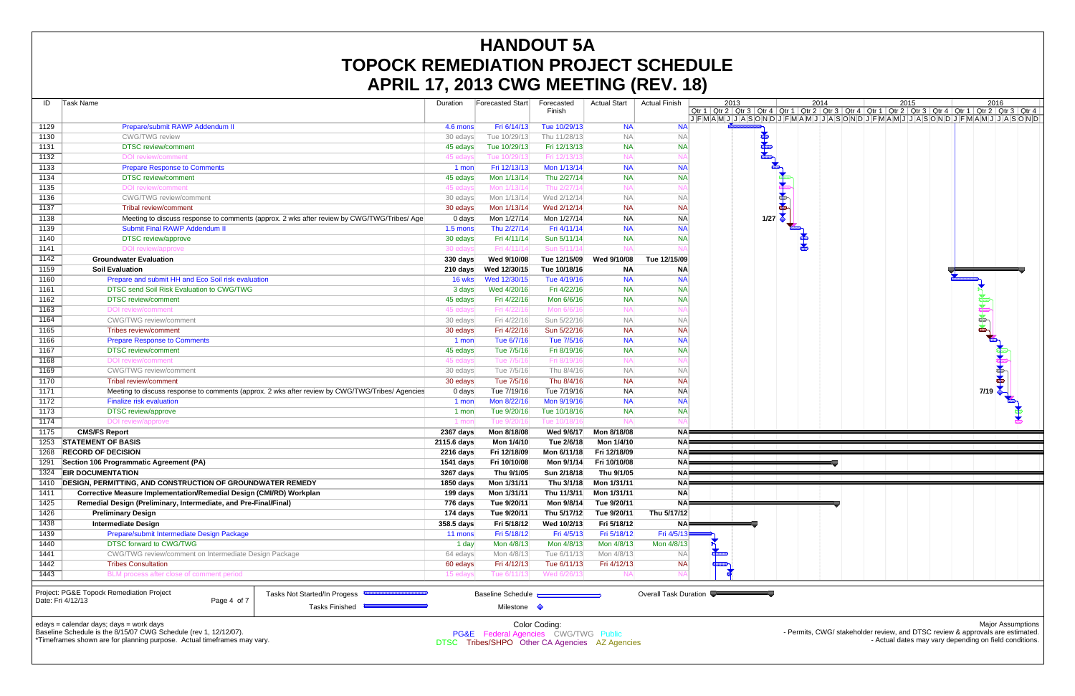| ID   | <b>Task Name</b>                                                             |                                                                                                 | Duration    | <b>Forecasted Start</b>                          | Forecasted<br>Finish | <b>Actual Start</b> | <b>Actual Finish</b>  | 2013<br>Qtr 1 Qtr 2 Qtr 3 Qtr 4 Qtr |                      |  |
|------|------------------------------------------------------------------------------|-------------------------------------------------------------------------------------------------|-------------|--------------------------------------------------|----------------------|---------------------|-----------------------|-------------------------------------|----------------------|--|
| 1129 | Prepare/submit RAWP Addendum II                                              |                                                                                                 | 4.6 mons    | Fri 6/14/13                                      | Tue 10/29/13         | <b>NA</b>           | <b>NA</b>             | JFMAMJJASONDJF                      |                      |  |
| 1130 | <b>CWG/TWG</b> review                                                        |                                                                                                 | 30 edays    | Tue 10/29/13                                     | Thu 11/28/13         | NA                  | <b>NA</b>             |                                     |                      |  |
| 1131 | <b>DTSC</b> review/comment                                                   |                                                                                                 | 45 edays    | Tue 10/29/13                                     | Fri 12/13/13         | <b>NA</b>           | <b>NA</b>             |                                     | <b>REAL PROPERTY</b> |  |
| 1132 | DOI review/comment                                                           |                                                                                                 | 45 edays    | Tue 10/29/1                                      | Fri 12/13/1          | NA                  |                       |                                     |                      |  |
| 1133 | <b>Prepare Response to Comments</b>                                          |                                                                                                 | 1 mon       | Fri 12/13/13                                     | Mon 1/13/14          | <b>NA</b>           | <b>NA</b>             |                                     |                      |  |
| 1134 | <b>DTSC</b> review/comment                                                   |                                                                                                 | 45 edays    | Mon 1/13/14                                      | Thu 2/27/14          | <b>NA</b>           | <b>NA</b>             |                                     |                      |  |
| 1135 | <b>DOI</b> review/comment                                                    |                                                                                                 | 45 edays    | Mon 1/13/1                                       | Thu 2/27/1           | ΝA                  | NA                    |                                     |                      |  |
| 1136 | <b>CWG/TWG</b> review/comment                                                |                                                                                                 | 30 edays    | Mon 1/13/14                                      | Wed 2/12/14          | <b>NA</b>           | <b>NA</b>             |                                     |                      |  |
| 1137 | Tribal review/comment                                                        |                                                                                                 | 30 edays    | Mon 1/13/14                                      | Wed 2/12/14          | <b>NA</b>           | <b>NA</b>             |                                     |                      |  |
| 1138 |                                                                              | Meeting to discuss response to comments (approx. 2 wks after review by CWG/TWG/Tribes/ Age      | 0 days      | Mon 1/27/14                                      | Mon 1/27/14          | <b>NA</b>           | <b>NA</b>             |                                     | 1/27                 |  |
| 1139 | <b>Submit Final RAWP Addendum II</b>                                         |                                                                                                 | $1.5$ mons  | Thu 2/27/14                                      | Fri 4/11/14          | <b>NA</b>           | <b>NA</b>             |                                     |                      |  |
| 1140 | <b>DTSC</b> review/approve                                                   |                                                                                                 | 30 edays    | Fri 4/11/14                                      | Sun 5/11/14          | <b>NA</b>           | <b>NA</b>             |                                     |                      |  |
| 1141 | DOI review/approve                                                           |                                                                                                 | 30 edays    | Fri 4/11/14                                      | Sun 5/11/14          | NΑ                  |                       |                                     |                      |  |
| 1142 | <b>Groundwater Evaluation</b>                                                |                                                                                                 | 330 days    | Wed 9/10/08                                      | Tue 12/15/09         | Wed 9/10/08         | Tue 12/15/09          |                                     |                      |  |
| 1159 | <b>Soil Evaluation</b>                                                       |                                                                                                 | 210 days    | Wed 12/30/15                                     | Tue 10/18/16         | ΝA                  | <b>NA</b>             |                                     |                      |  |
| 1160 | Prepare and submit HH and Eco Soil risk evaluation                           |                                                                                                 | 16 wks      | Wed 12/30/15                                     | Tue 4/19/16          | <b>NA</b>           | <b>NA</b>             |                                     |                      |  |
| 1161 | DTSC send Soil Risk Evaluation to CWG/TWG                                    |                                                                                                 | 3 days      | Wed 4/20/16                                      | Fri 4/22/16          | <b>NA</b>           | <b>NA</b>             |                                     |                      |  |
| 1162 | <b>DTSC</b> review/comment                                                   |                                                                                                 | 45 edays    | Fri 4/22/16                                      | Mon 6/6/16           | <b>NA</b>           | <b>NA</b>             |                                     |                      |  |
| 1163 | <b>DOI</b> review/comment                                                    |                                                                                                 | 45 edays    | Fri 4/22/16                                      | Mon 6/6/16           | <b>NA</b>           | $N_A$                 |                                     |                      |  |
| 1164 | CWG/TWG review/comment                                                       |                                                                                                 | 30 edays    | Fri 4/22/16                                      | Sun 5/22/16          | <b>NA</b>           | <b>NA</b>             |                                     |                      |  |
| 1165 | Tribes review/comment                                                        |                                                                                                 | 30 edays    | Fri 4/22/16                                      | Sun 5/22/16          | <b>NA</b>           | <b>NA</b>             |                                     |                      |  |
| 1166 | <b>Prepare Response to Comments</b>                                          |                                                                                                 | 1 mon       | Tue 6/7/16                                       | Tue 7/5/16           | <b>NA</b>           | <b>NA</b>             |                                     |                      |  |
| 1167 | <b>DTSC</b> review/comment                                                   |                                                                                                 | 45 edays    | Tue 7/5/16                                       | Fri 8/19/16          | <b>NA</b>           | <b>NA</b>             |                                     |                      |  |
| 1168 | <b>DOI</b> review/comment                                                    |                                                                                                 | 45 edays    | Tue 7/5/16                                       | Fri 8/19/1           | <b>NA</b>           | $N_A$                 |                                     |                      |  |
| 1169 | <b>CWG/TWG</b> review/comment                                                |                                                                                                 | 30 edays    | Tue 7/5/16                                       | Thu 8/4/16           | <b>NA</b>           | <b>NA</b>             |                                     |                      |  |
| 1170 | Tribal review/comment                                                        |                                                                                                 | 30 edays    | Tue 7/5/16                                       | Thu 8/4/16           | <b>NA</b>           | <b>NA</b>             |                                     |                      |  |
| 1171 |                                                                              | Meeting to discuss response to comments (approx. 2 wks after review by CWG/TWG/Tribes/ Agencies | 0 days      | Tue 7/19/16                                      | Tue 7/19/16          | <b>NA</b>           | <b>NA</b>             |                                     |                      |  |
| 1172 | <b>Finalize risk evaluation</b>                                              |                                                                                                 | 1 mon       | Mon 8/22/16                                      | Mon 9/19/16          | <b>NA</b>           | <b>NA</b>             |                                     |                      |  |
| 1173 | <b>DTSC</b> review/approve                                                   |                                                                                                 | 1 mon       | Tue 9/20/16                                      | Tue 10/18/16         | <b>NA</b>           | <b>NA</b>             |                                     |                      |  |
| 1174 | DOI review/approve                                                           |                                                                                                 | 1 mon       | Tue 9/20/1                                       | Tue 10/18/1          | NA                  | NA                    |                                     |                      |  |
| 1175 | <b>CMS/FS Report</b>                                                         |                                                                                                 | 2367 days   | Mon 8/18/08                                      | Wed 9/6/17           | Mon 8/18/08         | <b>NA</b>             |                                     |                      |  |
| 1253 | <b>STATEMENT OF BASIS</b>                                                    |                                                                                                 | 2115.6 days | Mon 1/4/10                                       | Tue 2/6/18           | Mon 1/4/10          | <b>NA</b>             |                                     |                      |  |
| 1268 | <b>RECORD OF DECISION</b>                                                    |                                                                                                 | 2216 days   | Fri 12/18/09                                     | Mon 6/11/18          | Fri 12/18/09        | <b>NA</b>             |                                     |                      |  |
| 1291 | Section 106 Programmatic Agreement (PA)                                      |                                                                                                 | 1541 days   | Fri 10/10/08                                     | Mon 9/1/14           | Fri 10/10/08        | <b>NA</b>             |                                     |                      |  |
| 1324 | <b>EIR DOCUMENTATION</b>                                                     |                                                                                                 | 3267 days   | Thu 9/1/05                                       | Sun 2/18/18          | Thu 9/1/05          | <b>NA</b>             |                                     |                      |  |
| 1410 | DESIGN, PERMITTING, AND CONSTRUCTION OF GROUNDWATER REMEDY                   |                                                                                                 | 1850 days   | Mon 1/31/11                                      | Thu 3/1/18           | Mon 1/31/11         | <b>NA</b>             |                                     |                      |  |
| 1411 | Corrective Measure Implementation/Remedial Design (CMI/RD) Workplan          |                                                                                                 | 199 days    | Mon 1/31/11                                      | Thu 11/3/11          | Mon 1/31/11         | <b>NA</b>             |                                     |                      |  |
| 1425 | Remedial Design (Preliminary, Intermediate, and Pre-Final/Final)             |                                                                                                 | 776 days    | Tue 9/20/11                                      | Mon 9/8/14           | Tue 9/20/11         | <b>NA</b>             |                                     |                      |  |
| 1426 | <b>Preliminary Design</b>                                                    |                                                                                                 | 174 days    | Tue 9/20/11                                      | Thu 5/17/12          | Tue 9/20/11         | Thu 5/17/12           |                                     |                      |  |
| 1438 | <b>Intermediate Design</b>                                                   | 358.5 days                                                                                      | Fri 5/18/12 | Wed 10/2/13                                      | Fri 5/18/12          | <b>NA</b>           |                       |                                     |                      |  |
| 1439 | Prepare/submit Intermediate Design Package                                   |                                                                                                 | 11 mons     | Fri 5/18/12                                      | Fri 4/5/13           | Fri 5/18/12         | Fri 4/5/13            |                                     |                      |  |
| 1440 | DTSC forward to CWG/TWG                                                      |                                                                                                 | 1 day       | Mon 4/8/13                                       | Mon 4/8/13           | Mon 4/8/13          | Mon 4/8/13            |                                     |                      |  |
| 1441 | CWG/TWG review/comment on Intermediate Design Package                        |                                                                                                 | 64 edays    | Mon 4/8/13                                       | Tue 6/11/13          | Mon 4/8/13          | <b>NA</b>             |                                     |                      |  |
| 1442 | <b>Tribes Consultation</b>                                                   |                                                                                                 | 60 edays    | Fri 4/12/13                                      | Tue 6/11/13          | Fri 4/12/13         | <b>NA</b>             |                                     |                      |  |
| 1443 | BLM process after close of comment period                                    |                                                                                                 | 15 edays    | Tue 6/11/1:                                      | Wed 6/26/1           | N۵                  |                       |                                     |                      |  |
|      | Project: PG&E Topock Remediation Project<br>Date: Fri 4/12/13<br>Page 4 of 7 | Tasks Not Started/In Progess<br><b>Tasks Finished</b>                                           |             | <b>Baseline Schedule</b><br>Milestone $\Diamond$ |                      |                     | Overall Task Duration |                                     |                      |  |
|      | $edays = calendar days$ ; $days = work days$                                 |                                                                                                 |             |                                                  | Color Coding:        |                     |                       |                                     |                      |  |



Major Assumptions

Baseline Schedule is the 8/15/07 CWG Schedule (rev 1, 12/12/07).

\*Timeframes shown are for planning purpose. Actual timeframes may vary.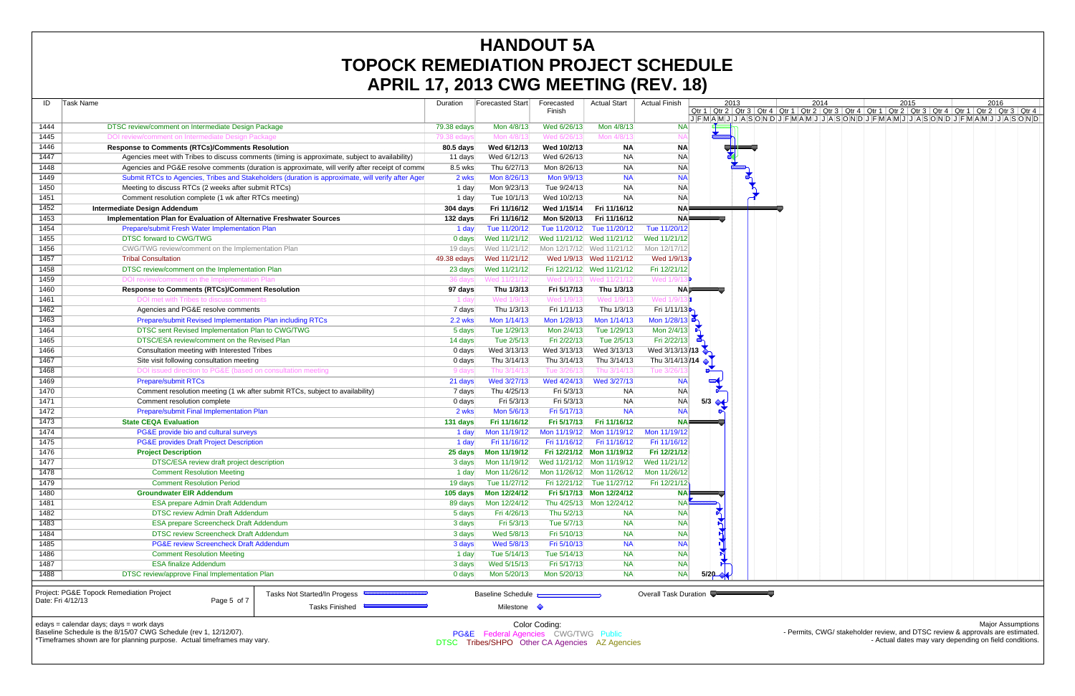|                   | AFRIL 17, 2013 GWG MEETING (REV. 10)                                                              |                |                          |                           |                           |                          |                       |      |                                                                                                                               |  |      |      |  |
|-------------------|---------------------------------------------------------------------------------------------------|----------------|--------------------------|---------------------------|---------------------------|--------------------------|-----------------------|------|-------------------------------------------------------------------------------------------------------------------------------|--|------|------|--|
| ID                | Task Name                                                                                         | Duration       | <b>Forecasted Start</b>  | Forecasted                | <b>Actual Start</b>       | <b>Actual Finish</b>     |                       | 2013 | 2014                                                                                                                          |  | 2015 | 2016 |  |
|                   |                                                                                                   |                |                          | Finish                    |                           |                          |                       |      | Qtr 1   Qtr 2   Qtr 3   Qtr 4   Qtr 1   Qtr 2   Qtr 3   Qtr 4   Qtr 1   Qtr 2   Qtr 3   Qtr 4   Qtr 1   Qtr 2   Qtr 3   Qtr 4 |  |      |      |  |
| 1444              | DTSC review/comment on Intermediate Design Package                                                | 79.38 edays    | Mon 4/8/13               | Wed 6/26/13               | Mon 4/8/13                | <b>NA</b>                |                       |      | JFMAMJJJASONDJFMAMJJJASONDJFMAMJJJASONDJFMAMJJJASONDJFMAMJJJASONDJ                                                            |  |      |      |  |
| 1445              | DOI review/comment on Intermediate Design Package                                                 | 79.38 edays    | Mon 4/8/1                | Wed 6/26/1                | Mon 4/8/1                 |                          |                       |      |                                                                                                                               |  |      |      |  |
| 1446              | <b>Response to Comments (RTCs)/Comments Resolution</b>                                            | 80.5 days      | Wed 6/12/13              | Wed 10/2/13               | <b>NA</b>                 | <b>NA</b>                |                       |      |                                                                                                                               |  |      |      |  |
| 1447              | Agencies meet with Tribes to discuss comments (timing is approximate, subject to availability)    | 11 days        | Wed 6/12/13              | Wed 6/26/13               | NA                        | <b>NA</b>                |                       |      |                                                                                                                               |  |      |      |  |
| 1448              | Agencies and PG&E resolve comments (duration is approximate, will verify after receipt of comme   | 8.5 wks        | Thu 6/27/13              | Mon 8/26/13               | <b>NA</b>                 | <b>NA</b>                |                       |      |                                                                                                                               |  |      |      |  |
| 1449              | Submit RTCs to Agencies, Tribes and Stakeholders (duration is approximate, will verify after Ager | 2 wks          | Mon 8/26/13              | Mon 9/9/13                | <b>NA</b>                 | <b>NA</b>                |                       |      |                                                                                                                               |  |      |      |  |
| 1450              | Meeting to discuss RTCs (2 weeks after submit RTCs)                                               | 1 day          | Mon 9/23/13              | Tue 9/24/13               | <b>NA</b>                 | <b>NA</b>                |                       |      |                                                                                                                               |  |      |      |  |
| 1451              | Comment resolution complete (1 wk after RTCs meeting)                                             | 1 day          | Tue 10/1/13              | Wed 10/2/13               | <b>NA</b>                 | <b>NA</b>                |                       |      |                                                                                                                               |  |      |      |  |
| 1452              | <b>Intermediate Design Addendum</b>                                                               | 304 days       | Fri 11/16/12             | Wed 1/15/14               | Fri 11/16/12              | NA⊫                      |                       |      |                                                                                                                               |  |      |      |  |
| 1453              | Implementation Plan for Evaluation of Alternative Freshwater Sources                              | 132 days       | Fri 11/16/12             | Mon 5/20/13               | Fri 11/16/12              | NA⊫                      |                       |      |                                                                                                                               |  |      |      |  |
| 1454              | Prepare/submit Fresh Water Implementation Plan                                                    | 1 day          | Tue 11/20/12             |                           | Tue 11/20/12 Tue 11/20/12 | Tue 11/20/12             |                       |      |                                                                                                                               |  |      |      |  |
| 1455              | <b>DTSC forward to CWG/TWG</b>                                                                    | 0 days         | Wed 11/21/12             |                           | Wed 11/21/12 Wed 11/21/12 | Wed 11/21/12             |                       |      |                                                                                                                               |  |      |      |  |
|                   |                                                                                                   |                |                          |                           |                           | Mon 12/17/12             |                       |      |                                                                                                                               |  |      |      |  |
| 1456              | CWG/TWG review/comment on the Implementation Plan<br><b>Tribal Consultation</b>                   | 19 days        | Wed 11/21/12             |                           | Mon 12/17/12 Wed 11/21/12 | Wed 1/9/13               |                       |      |                                                                                                                               |  |      |      |  |
| 1457              |                                                                                                   | 49.38 edays    | Wed 11/21/12             |                           | Wed 1/9/13 Wed 11/21/12   |                          |                       |      |                                                                                                                               |  |      |      |  |
| 1458              | DTSC review/comment on the Implementation Plan                                                    | 23 days        | Wed 11/21/12             |                           | Fri 12/21/12 Wed 11/21/12 | Fri 12/21/12             |                       |      |                                                                                                                               |  |      |      |  |
| 1459              | DOI review/comment on the Implementation Plan                                                     | 36 davs        | Wed 11/21/12             |                           | Wed 1/9/13 Wed 11/21/12   | Wed 1/9/                 |                       |      |                                                                                                                               |  |      |      |  |
| 1460              | <b>Response to Comments (RTCs)/Comment Resolution</b>                                             | 97 days        | Thu 1/3/13               | Fri 5/17/13               | Thu 1/3/13                |                          | NAIF                  |      |                                                                                                                               |  |      |      |  |
| 1461              | DOI met with Tribes to discuss comments                                                           | 1 day          | Wed 1/9/1:               | Wed 1/9/13                | Wed 1/9/1:                | Wed 1/9/1                |                       |      |                                                                                                                               |  |      |      |  |
| 1462              | Agencies and PG&E resolve comments                                                                | 7 days         | Thu 1/3/13               | Fri 1/11/13               | Thu 1/3/13                | Fri 1/11/13 <del>⊳</del> |                       |      |                                                                                                                               |  |      |      |  |
| 1463              | Prepare/submit Revised Implementation Plan including RTCs                                         | <b>2.2 wks</b> | Mon 1/14/13              | Mon 1/28/13               | Mon 1/14/13               | Mon 1/28/13              |                       |      |                                                                                                                               |  |      |      |  |
| 1464              | DTSC sent Revised Implementation Plan to CWG/TWG                                                  | 5 days         | Tue 1/29/13              | Mon 2/4/13                | Tue 1/29/13               | Mon 2/4/13               |                       |      |                                                                                                                               |  |      |      |  |
| 1465              | DTSC/ESA review/comment on the Revised Plan                                                       | 14 days        | Tue 2/5/13               | Fri 2/22/13               | Tue 2/5/13                | Fri 2/22/13              |                       |      |                                                                                                                               |  |      |      |  |
| 1466              | Consultation meeting with Interested Tribes                                                       | 0 days         | Wed 3/13/13              | Wed 3/13/13               | Wed 3/13/13               | Wed 3/13/13 /13          |                       |      |                                                                                                                               |  |      |      |  |
| 1467              | Site visit following consultation meeting                                                         | 0 days         | Thu 3/14/13              | Thu 3/14/13               | Thu 3/14/13               | Thu $3/14/13/14$         |                       |      |                                                                                                                               |  |      |      |  |
| 1468              | DOI issued direction to PG&E (based on consultation meeting                                       | 9 days         | Thu 3/14/1               | Tue 3/26/1                | Thu 3/14/1                | Tue 3/26/ <sup>.</sup>   | $\blacksquare$        |      |                                                                                                                               |  |      |      |  |
| 1469              | <b>Prepare/submit RTCs</b>                                                                        | 21 days        | Wed 3/27/13              | Wed 4/24/13               | Wed 3/27/13               | <b>NA</b>                | $\omega$              |      |                                                                                                                               |  |      |      |  |
| 1470              | Comment resolution meeting (1 wk after submit RTCs, subject to availability)                      | 7 days         | Thu 4/25/13              | Fri 5/3/13                | NA                        | <b>NA</b>                |                       |      |                                                                                                                               |  |      |      |  |
| 1471              | Comment resolution complete                                                                       | 0 days         | Fri 5/3/13               | Fri 5/3/13                | NA                        | <b>NA</b>                | $5/3$ $\blacklozenge$ |      |                                                                                                                               |  |      |      |  |
| 1472              | Prepare/submit Final Implementation Plan                                                          | 2 wks          | Mon 5/6/13               | Fri 5/17/13               | <b>NA</b>                 | <b>NA</b>                |                       |      |                                                                                                                               |  |      |      |  |
| 1473              | <b>State CEQA Evaluation</b>                                                                      | 131 days       | Fri 11/16/12             | Fri 5/17/13               | Fri 11/16/12              | $NA \equiv$              |                       |      |                                                                                                                               |  |      |      |  |
| 1474              | PG&E provide bio and cultural surveys                                                             | 1 day          | Mon 11/19/12             |                           | Mon 11/19/12 Mon 11/19/12 | Mon 11/19/12             |                       |      |                                                                                                                               |  |      |      |  |
| 1475              | <b>PG&amp;E provides Draft Project Description</b>                                                | 1 day          | Fri 11/16/12             | Fri 11/16/12              | Fri 11/16/12              | Fri 11/16/12             |                       |      |                                                                                                                               |  |      |      |  |
| 1476              | <b>Project Description</b>                                                                        | 25 days        | Mon 11/19/12             |                           | Fri 12/21/12 Mon 11/19/12 | Fri 12/21/12             |                       |      |                                                                                                                               |  |      |      |  |
| 1477              | DTSC/ESA review draft project description                                                         | 3 days         | Mon 11/19/12             |                           | Wed 11/21/12 Mon 11/19/12 | Wed 11/21/12             |                       |      |                                                                                                                               |  |      |      |  |
| 1478              | <b>Comment Resolution Meeting</b>                                                                 | 1 day          | Mon 11/26/12             | Mon 11/26/12 Mon 11/26/12 |                           | Mon 11/26/12             |                       |      |                                                                                                                               |  |      |      |  |
| 1479              | <b>Comment Resolution Period</b>                                                                  | 19 days        | Tue 11/27/12             |                           | Fri 12/21/12 Tue 11/27/12 | Fri 12/21/12             |                       |      |                                                                                                                               |  |      |      |  |
| 1480              | <b>Groundwater EIR Addendum</b>                                                                   | 105 days       | Mon 12/24/12             |                           | Fri 5/17/13 Mon 12/24/12  | NA⊫                      |                       |      |                                                                                                                               |  |      |      |  |
| 1481              | ESA prepare Admin Draft Addendum                                                                  | 89 days        | Mon 12/24/12             |                           | Thu 4/25/13 Mon 12/24/12  | <b>NA</b>                |                       |      |                                                                                                                               |  |      |      |  |
| 1482              | <b>DTSC review Admin Draft Addendum</b>                                                           | 5 days         | Fri 4/26/13              | Thu 5/2/13                | <b>NA</b>                 | <b>NA</b>                |                       |      |                                                                                                                               |  |      |      |  |
| 1483              | <b>ESA prepare Screencheck Draft Addendum</b>                                                     | 3 days         | Fri 5/3/13               | Tue 5/7/13                | <b>NA</b>                 | <b>NA</b>                |                       |      |                                                                                                                               |  |      |      |  |
| 1484              | <b>DTSC review Screencheck Draft Addendum</b>                                                     | 3 days         | Wed 5/8/13               | Fri 5/10/13               | <b>NA</b>                 | <b>NA</b>                |                       |      |                                                                                                                               |  |      |      |  |
| 1485              | <b>PG&amp;E review Screencheck Draft Addendum</b>                                                 | 3 days         | Wed 5/8/13               | Fri 5/10/13               | <b>NA</b>                 | <b>NA</b>                |                       |      |                                                                                                                               |  |      |      |  |
| 1486              | <b>Comment Resolution Meeting</b>                                                                 | 1 day          | Tue 5/14/13              | Tue 5/14/13               | <b>NA</b>                 | <b>NA</b>                |                       |      |                                                                                                                               |  |      |      |  |
| 1487              | <b>ESA finalize Addendum</b>                                                                      | 3 days         | Wed 5/15/13              | Fri 5/17/13               | <b>NA</b>                 | <b>NA</b>                |                       |      |                                                                                                                               |  |      |      |  |
| 1488              | DTSC review/approve Final Implementation Plan                                                     | $0$ days       | Mon 5/20/13              | Mon 5/20/13               | <b>NA</b>                 | <b>NA</b>                | 5/20                  |      |                                                                                                                               |  |      |      |  |
|                   |                                                                                                   |                |                          |                           |                           |                          |                       |      |                                                                                                                               |  |      |      |  |
| Date: Fri 4/12/13 | Project: PG&E Topock Remediation Project<br>Tasks Not Started/In Progess 600<br>Page 5 of 7       |                | <b>Baseline Schedule</b> |                           |                           | Overall Task Duration    |                       |      |                                                                                                                               |  |      |      |  |
|                   | Tasks Finished                                                                                    |                | Milestone $\Diamond$     |                           |                           |                          |                       |      |                                                                                                                               |  |      |      |  |
|                   |                                                                                                   |                |                          |                           |                           |                          |                       |      |                                                                                                                               |  |      |      |  |

edays = calendar days; days = work days

Baseline Schedule is the 8/15/07 CWG Schedule (rev 1, 12/12/07).

\*Timeframes shown are for planning purpose. Actual timeframes may vary.

Major Assumptions - Permits, CWG/ stakeholder review, and DTSC review & approvals are estimated.

- Actual dates may vary depending on field conditions.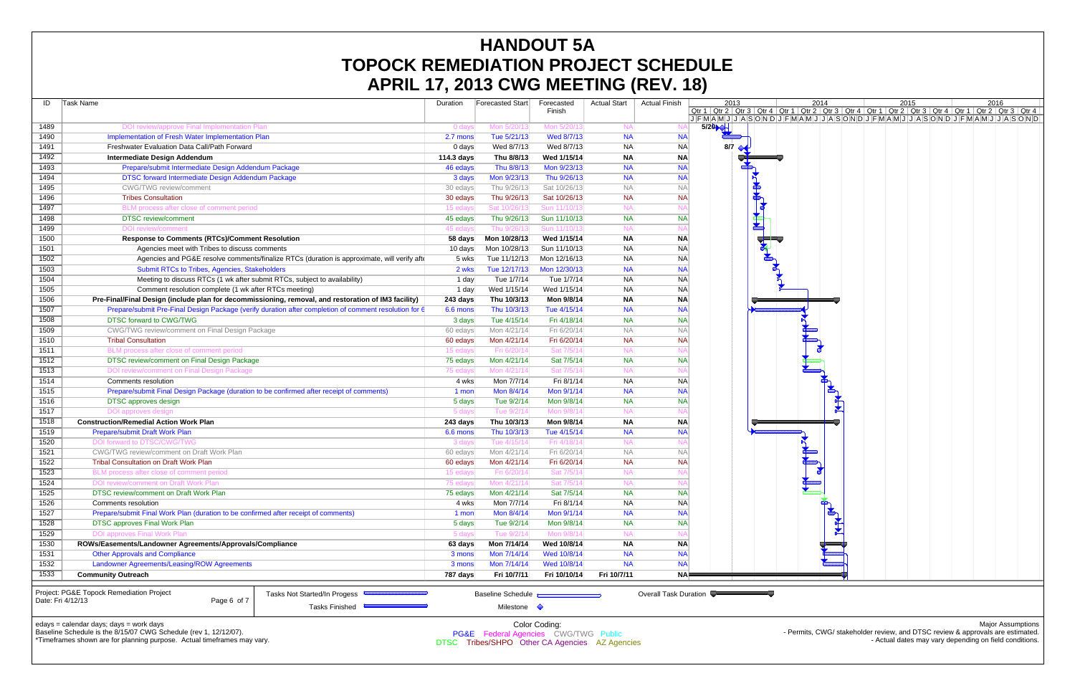|              | APRIL $\bm{V}$ , 2013 GWG MEETING (REV. 10)                                                           |                  |                                                 |               |                     |                       |                                                                                                                                                                                                                                      |    |      |  |      |                                                                                |  |
|--------------|-------------------------------------------------------------------------------------------------------|------------------|-------------------------------------------------|---------------|---------------------|-----------------------|--------------------------------------------------------------------------------------------------------------------------------------------------------------------------------------------------------------------------------------|----|------|--|------|--------------------------------------------------------------------------------|--|
| ID           | Task Name                                                                                             | Duration         | Forecasted Start                                | Forecasted    | <b>Actual Start</b> | <b>Actual Finish</b>  | 2013                                                                                                                                                                                                                                 |    | 2014 |  | 2015 | 2016                                                                           |  |
|              |                                                                                                       |                  |                                                 | Finish        |                     |                       | <u> Qtr 1   Qtr 2   Qtr 3   Qtr 4   Qtr 1   Qtr 2   Qtr 3   Qtr 4   Qtr 1   Qtr 2   Qtr 3   Qtr 4   Qtr 1   Qtr 2   Qtr 3   Qtr 4   Qtr 1   Qtr 2   Qtr 3   Qtr 4   J   F  M   A   M   J   J   A   S   O   N   D   J   F   M   A</u> |    |      |  |      |                                                                                |  |
| 1489         | DOI review/approve Final Implementation Plan                                                          | 0 days           | Mon 5/20/13                                     | Mon 5/20/13   | <b>NA</b>           |                       | 5/20                                                                                                                                                                                                                                 |    |      |  |      |                                                                                |  |
| 1490         | Implementation of Fresh Water Implementation Plan                                                     | 2.7 mons         | Tue 5/21/13                                     | Wed 8/7/13    | <b>NA</b>           | <b>NA</b>             |                                                                                                                                                                                                                                      |    |      |  |      |                                                                                |  |
| 1491         | Freshwater Evaluation Data Call/Path Forward                                                          | 0 days           | Wed 8/7/13                                      | Wed 8/7/13    | <b>NA</b>           | <b>NA</b>             | 8/7                                                                                                                                                                                                                                  |    |      |  |      |                                                                                |  |
| 1492         | Intermediate Design Addendum                                                                          | 114.3 days       | Thu 8/8/13                                      | Wed 1/15/14   | <b>NA</b>           | <b>NA</b>             |                                                                                                                                                                                                                                      |    |      |  |      |                                                                                |  |
| 1493         | Prepare/submit Intermediate Design Addendum Package                                                   | 46 edays         | Thu 8/8/13                                      | Mon 9/23/13   | <b>NA</b>           | <b>NA</b>             |                                                                                                                                                                                                                                      |    |      |  |      |                                                                                |  |
| 1494         | DTSC forward Intermediate Design Addendum Package                                                     | 3 days           | Mon 9/23/13                                     | Thu 9/26/13   | <b>NA</b>           | <b>NA</b>             |                                                                                                                                                                                                                                      |    |      |  |      |                                                                                |  |
| 1495         | CWG/TWG review/comment                                                                                | 30 edays         | Thu 9/26/13                                     | Sat 10/26/13  | <b>NA</b>           | <b>NA</b>             |                                                                                                                                                                                                                                      |    |      |  |      |                                                                                |  |
| 1496         | <b>Tribes Consultation</b>                                                                            | 30 edays         | Thu 9/26/13                                     | Sat 10/26/13  | <b>NA</b>           | <b>NA</b>             |                                                                                                                                                                                                                                      |    |      |  |      |                                                                                |  |
| 1497         | BLM process after close of comment period                                                             | 15 edays         | Sat 10/26/13                                    | Sun 11/10/13  | <b>NA</b>           |                       |                                                                                                                                                                                                                                      |    |      |  |      |                                                                                |  |
| 1498         | <b>DTSC</b> review/comment                                                                            | 45 edays         | Thu 9/26/13                                     | Sun 11/10/13  | <b>NA</b>           | <b>NA</b>             |                                                                                                                                                                                                                                      | \$ |      |  |      |                                                                                |  |
| 1499         | <b>DOI</b> review/comment                                                                             | 45 edays         | Thu 9/26/13                                     | Sun 11/10/13  | <b>NA</b>           | N.                    |                                                                                                                                                                                                                                      |    |      |  |      |                                                                                |  |
| 1500         | <b>Response to Comments (RTCs)/Comment Resolution</b>                                                 | 58 days          | Mon 10/28/13                                    | Wed 1/15/14   | <b>NA</b>           | <b>NA</b>             |                                                                                                                                                                                                                                      |    |      |  |      |                                                                                |  |
| 1501         | Agencies meet with Tribes to discuss comments                                                         | 10 days          | Mon 10/28/13                                    | Sun 11/10/13  | <b>NA</b>           | <b>NAI</b>            |                                                                                                                                                                                                                                      |    |      |  |      |                                                                                |  |
| 1502         | Agencies and PG&E resolve comments/finalize RTCs (duration is approximate, will verify aft            | 5 wks            | Tue 11/12/13                                    | Mon 12/16/13  | <b>NA</b>           | <b>NAI</b>            |                                                                                                                                                                                                                                      |    |      |  |      |                                                                                |  |
| 1503         | Submit RTCs to Tribes, Agencies, Stakeholders                                                         | 2 wks            | Tue 12/17/13                                    | Mon 12/30/13  | <b>NA</b>           | <b>NA</b>             |                                                                                                                                                                                                                                      |    |      |  |      |                                                                                |  |
| 1504         | Meeting to discuss RTCs (1 wk after submit RTCs, subject to availability)                             | 1 day            | Tue 1/7/14                                      | Tue 1/7/14    | <b>NA</b>           | <b>NA</b>             |                                                                                                                                                                                                                                      |    |      |  |      |                                                                                |  |
| 1505         | Comment resolution complete (1 wk after RTCs meeting)                                                 | 1 day            | Wed 1/15/14                                     | Wed 1/15/14   | <b>NA</b>           | <b>NA</b>             |                                                                                                                                                                                                                                      |    |      |  |      |                                                                                |  |
| 1506         | Pre-Final/Final Design (include plan for decommissioning, removal, and restoration of IM3 facility)   | 243 days         | Thu 10/3/13                                     | Mon 9/8/14    | <b>NA</b>           | <b>NA</b>             |                                                                                                                                                                                                                                      |    |      |  |      |                                                                                |  |
| 1507         | Prepare/submit Pre-Final Design Package (verify duration after completion of comment resolution for 6 | 6.6 mons         | Thu 10/3/13                                     | Tue 4/15/14   | <b>NA</b>           | <b>NA</b>             |                                                                                                                                                                                                                                      |    |      |  |      |                                                                                |  |
| 1508         | DTSC forward to CWG/TWG                                                                               | 3 days           | Tue 4/15/14                                     | Fri 4/18/14   | <b>NA</b>           | <b>NA</b>             |                                                                                                                                                                                                                                      |    |      |  |      |                                                                                |  |
| 1509         | CWG/TWG review/comment on Final Design Package                                                        | 60 edays         | Mon 4/21/14                                     | Fri 6/20/14   | <b>NA</b>           | <b>NA</b>             |                                                                                                                                                                                                                                      |    |      |  |      |                                                                                |  |
| 1510         | <b>Tribal Consultation</b>                                                                            | 60 edays         | Mon 4/21/14                                     | Fri 6/20/14   | <b>NA</b>           | <b>NA</b>             |                                                                                                                                                                                                                                      |    |      |  |      |                                                                                |  |
| 1511         | BLM process after close of comment period                                                             | 15 edays         | Fri 6/20/14                                     | Sat 7/5/14    | <b>NA</b>           |                       |                                                                                                                                                                                                                                      |    |      |  |      |                                                                                |  |
| 1512         | DTSC review/comment on Final Design Package                                                           | 75 edays         | Mon 4/21/14                                     | Sat 7/5/14    | <b>NA</b>           | <b>NA</b>             |                                                                                                                                                                                                                                      |    |      |  |      |                                                                                |  |
| 1513         | DOI review/comment on Final Design Package                                                            | 75 edays         | Mon 4/21/14                                     | Sat 7/5/14    | <b>NA</b>           | N.                    |                                                                                                                                                                                                                                      |    |      |  |      |                                                                                |  |
| 1514         | Comments resolution                                                                                   | 4 wks            | Mon 7/7/14                                      | Fri 8/1/14    | <b>NA</b>           | <b>NA</b>             |                                                                                                                                                                                                                                      |    |      |  |      |                                                                                |  |
| 1515         | Prepare/submit Final Design Package (duration to be confirmed after receipt of comments)              | 1 mon            | Mon 8/4/14                                      | Mon 9/1/14    | <b>NA</b>           | <b>NA</b>             |                                                                                                                                                                                                                                      |    |      |  |      |                                                                                |  |
| 1516         | <b>DTSC</b> approves design                                                                           | 5 days           | Tue 9/2/14                                      | Mon 9/8/14    | <b>NA</b>           | <b>NAI</b>            |                                                                                                                                                                                                                                      |    |      |  |      |                                                                                |  |
| 1517         | DOI approves design                                                                                   | 5 days           | Tue 9/2/14                                      | Mon 9/8/14    | <b>NA</b>           | N.                    |                                                                                                                                                                                                                                      |    |      |  |      |                                                                                |  |
| 1518         | <b>Construction/Remedial Action Work Plan</b>                                                         | 243 days         | Thu 10/3/13                                     | Mon 9/8/14    | <b>NA</b>           | <b>NA</b>             |                                                                                                                                                                                                                                      |    |      |  |      |                                                                                |  |
| 1519         | Prepare/submit Draft Work Plan                                                                        | 6.6 mons         | Thu 10/3/13                                     | Tue 4/15/14   | <b>NA</b>           | <b>NA</b>             |                                                                                                                                                                                                                                      |    |      |  |      |                                                                                |  |
| 1520         | DOI forward to DTSC/CWG/TWG                                                                           | 3 days           | Tue 4/15/14                                     | Fri 4/18/14   | <b>NA</b>           |                       |                                                                                                                                                                                                                                      |    |      |  |      |                                                                                |  |
| 1521         | CWG/TWG review/comment on Draft Work Plan                                                             | 60 edays         | Mon 4/21/14                                     | Fri 6/20/14   | <b>NA</b>           | <b>NA</b>             |                                                                                                                                                                                                                                      |    |      |  |      |                                                                                |  |
| 1522         | <b>Tribal Consultation on Draft Work Plan</b>                                                         | 60 edays         | Mon 4/21/14                                     | Fri 6/20/14   | <b>NA</b>           | <b>NAI</b>            |                                                                                                                                                                                                                                      |    |      |  |      |                                                                                |  |
| 1523         | BLM process after close of comment period                                                             | 15 edays         | Fri 6/20/14                                     | Sat 7/5/14    | <b>NA</b>           |                       |                                                                                                                                                                                                                                      |    |      |  |      |                                                                                |  |
| 1524         | DOI review/comment on Draft Work Plan                                                                 | 75 edays         | Mon 4/21/14                                     | Sat 7/5/14    | <b>NA</b>           |                       |                                                                                                                                                                                                                                      |    |      |  |      |                                                                                |  |
| 1525         | DTSC review/comment on Draft Work Plan                                                                | 75 edays         | Mon 4/21/14                                     | Sat 7/5/14    | <b>NA</b>           | <b>NA</b>             |                                                                                                                                                                                                                                      |    |      |  |      |                                                                                |  |
| 1526         | Comments resolution                                                                                   | 4 wks            | Mon 7/7/14                                      | Fri 8/1/14    | <b>NA</b>           | <b>NA</b>             |                                                                                                                                                                                                                                      |    |      |  |      |                                                                                |  |
| 1527         | Prepare/submit Final Work Plan (duration to be confirmed after receipt of comments)                   | $1$ mon          | Mon 8/4/14                                      | Mon 9/1/14    | <b>NA</b>           | <b>NA</b>             |                                                                                                                                                                                                                                      |    |      |  |      |                                                                                |  |
| 1528         | <b>DTSC approves Final Work Plan</b>                                                                  | 5 days           | Tue 9/2/14                                      | Mon 9/8/14    | <b>NA</b>           | <b>NA</b>             |                                                                                                                                                                                                                                      |    |      |  |      |                                                                                |  |
|              | <b>DOI approves Final Work Plan</b>                                                                   |                  | Tue 9/2/14                                      | Mon 9/8/14    | <b>NA</b>           |                       |                                                                                                                                                                                                                                      |    |      |  |      |                                                                                |  |
| 1529<br>1530 | ROWs/Easements/Landowner Agreements/Approvals/Compliance                                              | 5 days           | Mon 7/14/14                                     | Wed 10/8/14   | <b>NA</b>           | <b>NA</b>             |                                                                                                                                                                                                                                      |    |      |  |      |                                                                                |  |
|              | <b>Other Approvals and Compliance</b>                                                                 | 63 days          | Mon 7/14/14                                     | Wed 10/8/14   | <b>NA</b>           | <b>NA</b>             |                                                                                                                                                                                                                                      |    |      |  |      |                                                                                |  |
| 1531<br>1532 | Landowner Agreements/Leasing/ROW Agreements                                                           | 3 mons<br>3 mons | Mon 7/14/14                                     | Wed 10/8/14   | <b>NA</b>           | <b>NA</b>             |                                                                                                                                                                                                                                      |    |      |  |      |                                                                                |  |
|              |                                                                                                       |                  |                                                 |               |                     |                       |                                                                                                                                                                                                                                      |    |      |  |      |                                                                                |  |
| 1533         | <b>Community Outreach</b>                                                                             | 787 days         | Fri 10/7/11                                     | Fri 10/10/14  | Fri 10/7/11         | NA⊫                   |                                                                                                                                                                                                                                      |    |      |  |      |                                                                                |  |
|              | Project: PG&E Topock Remediation Project<br>Tasks Not Started/In Progess <b>CONSTRUSS</b>             |                  | <b>Baseline Schedule</b>                        |               |                     | Overall Task Duration |                                                                                                                                                                                                                                      |    |      |  |      |                                                                                |  |
|              | Date: Fri 4/12/13<br>Page 6 of 7                                                                      |                  |                                                 |               |                     |                       |                                                                                                                                                                                                                                      |    |      |  |      |                                                                                |  |
|              | Tasks Finished                                                                                        |                  | Milestone $\Diamond$                            |               |                     |                       |                                                                                                                                                                                                                                      |    |      |  |      |                                                                                |  |
|              | edays = calendar days; days = work days                                                               |                  |                                                 | Color Coding: |                     |                       |                                                                                                                                                                                                                                      |    |      |  |      | Major Assumptions                                                              |  |
|              | Baseline Schedule is the 8/15/07 CWG Schedule (rev 1, 12/12/07).                                      |                  | <b>PG&amp;E</b> Federal Agencies CWG/TWG Public |               |                     |                       |                                                                                                                                                                                                                                      |    |      |  |      | - Permits, CWG/ stakeholder review, and DTSC review & approvals are estimated. |  |

\*Timeframes shown are for planning purpose. Actual timeframes may vary.

- Actual dates may vary depending on field conditions.